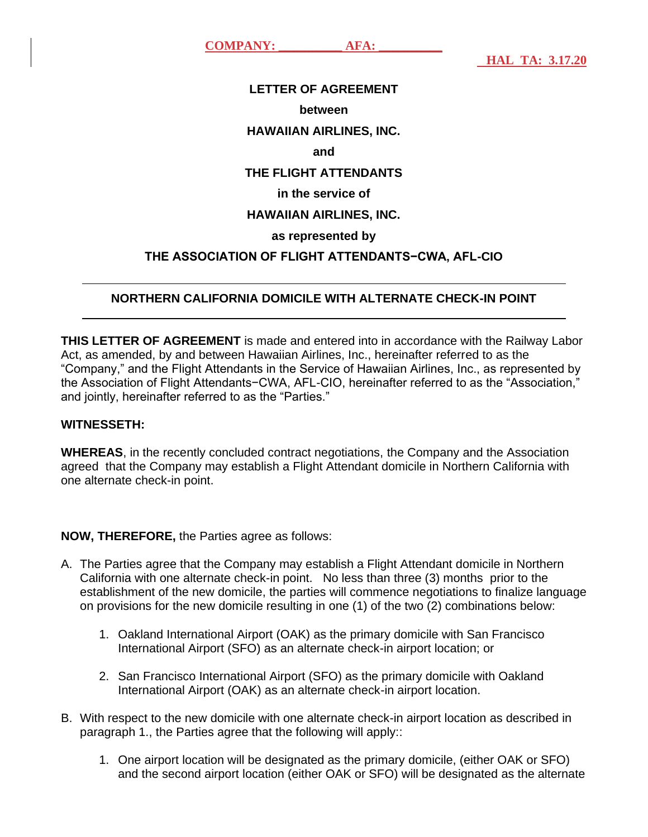**COMPANY: AFA:** 

 **HAL TA: 3.17.20**

## **LETTER OF AGREEMENT between HAWAIIAN AIRLINES, INC. and THE FLIGHT ATTENDANTS in the service of HAWAIIAN AIRLINES, INC. as represented by THE ASSOCIATION OF FLIGHT ATTENDANTS−CWA, AFL-CIO**

## **NORTHERN CALIFORNIA DOMICILE WITH ALTERNATE CHECK-IN POINT**

**THIS LETTER OF AGREEMENT** is made and entered into in accordance with the Railway Labor Act, as amended, by and between Hawaiian Airlines, Inc., hereinafter referred to as the "Company," and the Flight Attendants in the Service of Hawaiian Airlines, Inc., as represented by the Association of Flight Attendants−CWA, AFL-CIO, hereinafter referred to as the "Association," and jointly, hereinafter referred to as the "Parties."

## **WITNESSETH:**

 $\overline{a}$ 

 $\overline{a}$ 

**WHEREAS**, in the recently concluded contract negotiations, the Company and the Association agreed that the Company may establish a Flight Attendant domicile in Northern California with one alternate check-in point.

## **NOW, THEREFORE,** the Parties agree as follows:

- A. The Parties agree that the Company may establish a Flight Attendant domicile in Northern California with one alternate check-in point. No less than three (3) months prior to the establishment of the new domicile, the parties will commence negotiations to finalize language on provisions for the new domicile resulting in one (1) of the two (2) combinations below:
	- 1. Oakland International Airport (OAK) as the primary domicile with San Francisco International Airport (SFO) as an alternate check-in airport location; or
	- 2. San Francisco International Airport (SFO) as the primary domicile with Oakland International Airport (OAK) as an alternate check-in airport location.
- B. With respect to the new domicile with one alternate check-in airport location as described in paragraph 1., the Parties agree that the following will apply::
	- 1. One airport location will be designated as the primary domicile, (either OAK or SFO) and the second airport location (either OAK or SFO) will be designated as the alternate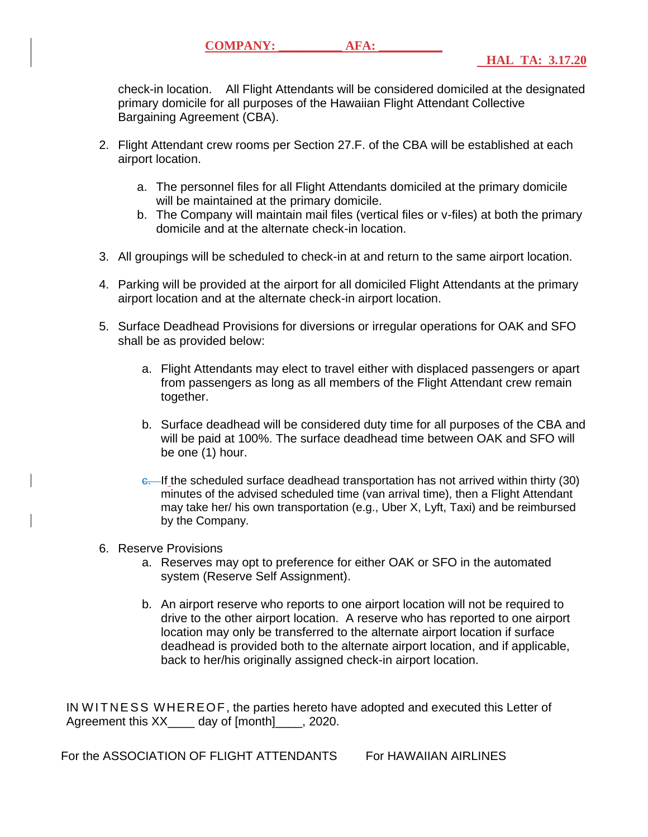check-in location. All Flight Attendants will be considered domiciled at the designated primary domicile for all purposes of the Hawaiian Flight Attendant Collective Bargaining Agreement (CBA).

- 2. Flight Attendant crew rooms per Section 27.F. of the CBA will be established at each airport location.
	- a. The personnel files for all Flight Attendants domiciled at the primary domicile will be maintained at the primary domicile.
	- b. The Company will maintain mail files (vertical files or v-files) at both the primary domicile and at the alternate check-in location.
- 3. All groupings will be scheduled to check-in at and return to the same airport location.
- 4. Parking will be provided at the airport for all domiciled Flight Attendants at the primary airport location and at the alternate check-in airport location.
- 5. Surface Deadhead Provisions for diversions or irregular operations for OAK and SFO shall be as provided below:
	- a. Flight Attendants may elect to travel either with displaced passengers or apart from passengers as long as all members of the Flight Attendant crew remain together.
	- b. Surface deadhead will be considered duty time for all purposes of the CBA and will be paid at 100%. The surface deadhead time between OAK and SFO will be one (1) hour.
	- e. If the scheduled surface deadhead transportation has not arrived within thirty (30) minutes of the advised scheduled time (van arrival time), then a Flight Attendant may take her/ his own transportation (e.g., Uber X, Lyft, Taxi) and be reimbursed by the Company.
- 6. Reserve Provisions
	- a. Reserves may opt to preference for either OAK or SFO in the automated system (Reserve Self Assignment).
	- b. An airport reserve who reports to one airport location will not be required to drive to the other airport location. A reserve who has reported to one airport location may only be transferred to the alternate airport location if surface deadhead is provided both to the alternate airport location, and if applicable, back to her/his originally assigned check-in airport location.

IN WITNESS WHEREOF, the parties hereto have adopted and executed this Letter of Agreement this XX day of [month] . 2020.

For the ASSOCIATION OF FLIGHT ATTENDANTS For HAWAIIAN AIRLINES